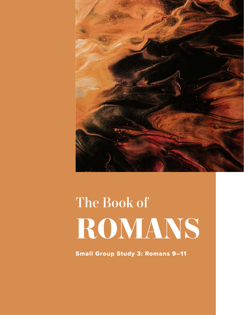

# The Book of **ROMANS**

Small Group Study 3: Romans 9–11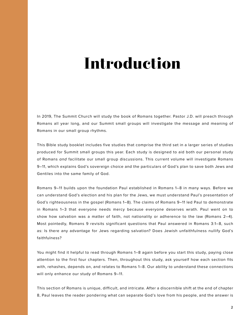# **Introduction**

In 2019, The Summit Church will study the book of Romans together. Pastor J.D. will preach through Romans all year long, and our Summit small groups will investigate the message and meaning of Romans in our small group rhythms.

This Bible study booklet includes five studies that comprise the third set in a larger series of studies produced for Summit small groups this year. Each study is designed to aid both our personal study of Romans *and* facilitate our small group discussions. This current volume will investigate Romans 9–11, which explains God's sovereign choice and the particulars of God's plan to save both Jews and Gentiles into the same family of God.

Romans 9–11 builds upon the foundation Paul established in Romans 1–8 in many ways. Before we can understand God's election and his plan for the Jews, we must understand Paul's presentation of God's righteousness in the gospel (Romans 1–8). The claims of Romans 9–11 led Paul to demonstrate in Romans 1–3 that everyone needs mercy because everyone deserves wrath. Paul went on to show how salvation was a matter of faith, not nationality or adherence to the law (Romans 2–4). Most pointedly, Romans 9 revisits significant questions that Paul answered in Romans 3:1–8, such as: Is there any advantage for Jews regarding salvation? Does Jewish unfaithfulness nullify God's faithfulness?

You might find it helpful to read through Romans 1–8 again before you start this study, paying close attention to the first four chapters. Then, throughout this study, ask yourself how each section fits with, rehashes, depends on, and relates to Romans 1–8. Our ability to understand these connections will only enhance our study of Romans 9–11.

This section of Romans is unique, difficult, and intricate. After a discernible shift at the end of chapter 8, Paul leaves the reader pondering what can separate God's love from his people, and the answer is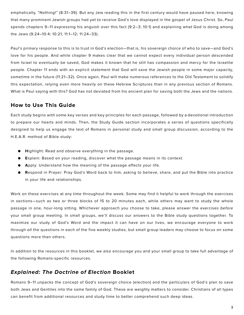emphatically, "Nothing!" (8:31–39). But any Jew reading this in the first century would have paused here, knowing that many prominent Jewish groups had yet to receive God's love displayed in the gospel of Jesus Christ. So, Paul spends chapters 9–11 expressing his anguish over this fact (9:2–3; 10:1) and explaining what God is doing among the Jews (9:24–10:4; 10:21; 11:1–12; 11:24–33).

Paul's primary response to this is to trust in God's election—that is, his sovereign choice of who to save—and God's love for his people. And while chapter 9 makes clear that we cannot expect every individual person descended from Israel to eventually be saved, God makes it known that he still has compassion and mercy for the Israelite people. Chapter 11 ends with an explicit statement that God will save the Jewish people in some major capacity, sometime in the future (11:21–32). Once again, Paul will make numerous references to the Old Testament to solidify this expectation, relying even more heavily on these Hebrew Scriptures than in any previous section of Romans. What is Paul saying with this? God has not deviated from his ancient plan for saving both the Jews and the nations.

### **How to Use This Guide**

Each study begins with some key verses and key principles for each passage, followed by a devotional introduction to prepare our hearts and minds. Then, the Study Guide section incorporates a series of questions specifically designed to help us engage the text of Romans in personal study and small group discussion, according to the H.E.A.R. method of Bible study:

- **● H**ighlight: Read and observe everything in the passage.
- **● E**xplain: Based on your reading, discover what the passage means in its context.
- **● A**pply: Understand how the meaning of the passage affects your life.
- **● R**espond in Prayer: Pray God's Word back to him, asking to believe, share, and put the Bible into practice in your life and relationships.

Work on these exercises at any time throughout the week. Some may find it helpful to work through the exercises in sections—such as two or three blocks of 15 to 20 minutes each, while others may want to study the whole passage in one, hour-long sitting. Whichever approach you choose to take, please answer the exercises *before* your small group meeting. In small groups, we'll discuss our answers to the Bible study questions together. To maximize our study of God's Word and the impact it can have on our lives, we encourage everyone to work through *all* the questions in each of the five weekly studies, but small group leaders may choose to focus on some questions more than others.

In addition to the resources in this booklet, we also encourage you and your small group to take full advantage of the following Romans-specific resources.

# *Explained: The Doctrine of Election* **Booklet**

Romans 9–11 unpacks the concept of God's sovereign choice (election) and the particulars of God's plan to save both Jews and Gentiles into the same family of God. These are weighty matters to consider. Christians of all types can benefit from additional resources and study time to better comprehend such deep ideas.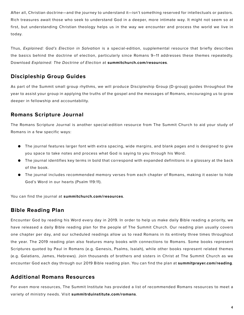After all, Christian doctrine—and the journey to understand it—isn't something reserved for intellectuals or pastors. Rich treasures await those who seek to understand God in a deeper, more intimate way. It might not seem so at first, but understanding Christian theology helps us in the way we encounter and process the world we live in today.

Thus, *Explained: God's Election in Salvation* is a special-edition, supplemental resource that briefly describes the basics behind the doctrine of election, particularly since Romans 9–11 addresses these themes repeatedly. Download *Explained: The Doctrine of Election* at **summitchurch.com/resources**.

# **Discipleship Group Guides**

As part of the Summit small group rhythms, we will produce Discipleship Group (D-group) guides throughout the year to assist your group in applying the truths of the gospel and the messages of Romans, encouraging us to grow deeper in fellowship and accountability.

# **Romans Scripture Journal**

The Romans Scripture Journal is another special-edition resource from The Summit Church to aid your study of Romans in a few specific ways:

- The journal features larger font with extra spacing, wide margins, and blank pages and is designed to give you space to take notes and process what God is saying to you through his Word.
- The journal identifies key terms in bold that correspond with expanded definitions in a glossary at the back of the book.
- The journal includes recommended memory verses from each chapter of Romans, making it easier to hide God's Word in our hearts (Psalm 119:11).

You can find the journal at **summitchurch.com/resources**.

# **Bible Reading Plan**

Encounter God by reading his Word every day in 2019. In order to help us make daily Bible reading a priority, we have released a daily Bible reading plan for the people of The Summit Church. Our reading plan usually covers one chapter per day, and our scheduled readings allow us to read Romans in its entirety three times throughout the year. The 2019 reading plan also features many books with connections to Romans. Some books represent Scriptures quoted by Paul in Romans (e.g. Genesis, Psalms, Isaiah), while other books represent related themes (e.g. Galatians, James, Hebrews). Join thousands of brothers and sisters in Christ at The Summit Church as we encounter God each day through our 2019 Bible reading plan. You can find the plan at **summitprayer.com/reading**.

# **Additional Romans Resources**

For even more resources, The Summit Institute has provided a list of recommended Romans resources to meet a variety of ministry needs. Visit **summitrduinstitute.com/romans**.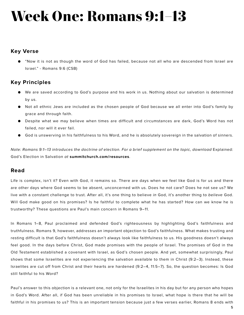# **Week One: Romans 9:1–13**

#### **Key Verse**

● "Now it is not as though the word of God has failed, because not all who are descended from Israel are Israel." - Romans 9:6 (CSB)

# **Key Principles**

- We are saved according to God's purpose and his work in us. Nothing about our salvation is determined by us.
- Not all ethnic Jews are included as the chosen people of God because we all enter into God's family by grace and through faith.
- Despite what we may believe when times are difficult and circumstances are dark, God's Word has not failed, nor will it ever fail.
- God is unswerving in his faithfulness to his Word, and he is absolutely sovereign in the salvation of sinners.

*Note: Romans 9:1–13 introduces the doctrine of election. For a brief supplement on the topic, download Explained:* God's Election in Salvation *at* **summitchurch.com/resources**.

#### **Read**

Life is complex, isn't it? Even with God, it remains so. There are days when we feel like God is for us and there are other days where God seems to be absent, unconcerned with us. Does he not care? Does he not see us? We live with a constant challenge to trust. After all, it's one thing to believe *in* God, it's another thing to *believe* God. Will God make good on his promises? Is he faithful to complete what he has started? How can we know he is trustworthy? These questions are Paul's main concern in Romans 9–11.

In Romans 1–8, Paul proclaimed and defended God's righteousness by highlighting God's faithfulness and truthfulness. Romans 9, however, addresses an important objection to God's faithfulness. What makes trusting and resting difficult is that God's faithfulness doesn't always look like faithfulness to us. His goodness doesn't always feel good. In the days before Christ, God made promises with the people of Israel. The promises of God in the Old Testament established a covenant with Israel, as God's chosen people. And yet, somewhat surprisingly, Paul shows that some Israelites are not experiencing the salvation available to them in Christ (9:2–3). Instead, these Israelites are cut off from Christ and their hearts are hardened (9:2–4, 11:5–7). So, the question becomes: Is God still faithful to his Word?

Paul's answer to this objection is a relevant one, not only for the Israelites in his day but for any person who hopes in God's Word. After all, if God has been unreliable in his promises to Israel, what hope is there that he will be faithful in his promises to us? This is an important tension because just a few verses earlier, Romans 8 ends with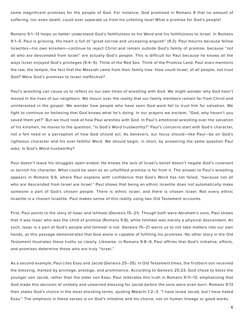some magnificent promises for the people of God. For instance, God promised in Romans 8 that no amount of suffering, nor even death, could ever separate us from his unfailing love! What a promise for God's people!

Romans 9:1–13 helps us better understand God's faithfulness to his Word and his faithfulness to Israel. In Romans 9:1–5, Paul is grieving. His heart is full of "great sorrow and unceasing anguish" (9:2). Paul mourns because fellow Israelites—his own kinsmen—continue to reject Christ and remain outside God's family of promise, because "not all who are descended from Israel" are actually God's people. This is difficult for Paul because he knows all the ways Israel enjoyed God's privileges (9:4–5). Think of the Red Sea. Think of the Promise Land. Paul even mentions the law, the temple, the fact that the Messiah came from their family tree. How could Israel, of all people, not trust God? Were God's promises to Israel ineffective?

Paul's wrestling can cause us to reflect on our own times of wrestling with God. We might wonder why God hasn't moved in the lives of our neighbors. We mourn over the reality that our family members remain far from Christ and uninterested in the gospel. We wonder how people who have seen God work fail to trust him for salvation. We fight to continue on believing that God knows what he's doing. In our prayers we exclaim, "God, why haven't you saved them yet?" But we must look at how Paul wrestles with God. In Paul's emotional wrestling over the salvation of his kinsmen, he moves to the question, "Is God's Word trustworthy?" Paul's concerns start with God's character, not a felt need or a perception of how God should act. As believers, our focus should—like Paul—be on God's righteous character and his ever-faithful Word. We should begin, in short, by answering the same question Paul asks: Is God's Word trustworthy?

Paul doesn't leave his struggles open-ended. He knows the lack of Israel's belief doesn't negate God's covenant or tarnish his character. What could be seen as an unfulfilled promise is far from it. The answer to Paul's wrestling appears in Romans 9:6, where Paul explains with confidence that God's Word has not failed, "because not all who are descended from Israel are Israel." Paul shows that being an ethnic Israelite does not automatically make someone a part of God's chosen people. There is ethnic Israel, and there is chosen Israel. Not every ethnic Israelite is a chosen Israelite. Paul makes sense of this reality using two Old Testament accounts.

First, Paul points to the story of Isaac and Ishmael (Genesis 15–21). Though both were Abraham's sons, Paul shows that it was Isaac who was the child of promise (Romans 9:8), while Ishmael was merely a physical descendant. As such, Isaac is a part of God's people and Ishmael is not. Genesis 15–21 warns us to not take matters into our own hands, as this passage demonstrates that God alone is capable of fulfilling his promises. No other story in the Old Testament illustrates these truths so clearly. Likewise, in Romans 9:8–9, Paul affirms that *God's* initiative, efforts, and promises determine those who are truly "Israel."

As a second example, Paul cites Esau and Jacob (Genesis 25–35). In Old Testament times, the firstborn son received the blessing, marked by privilege, prestige, and prominence. According to Genesis 25:23, God chose to bless the younger son Jacob, rather than the older son Esau. Paul reiterates this truth in Romans 9:11–13, emphasizing that God made this decision of unlikely and unearned blessing for Jacob *before* the sons were even born. Romans 9:13 then states God's choice in the most shocking terms, quoting Malachi 1:2–3, "I have loved Jacob, but I have hated Esau." The emphasis in these verses is on *God's* initiative and *his* choice, not on human lineage or good works.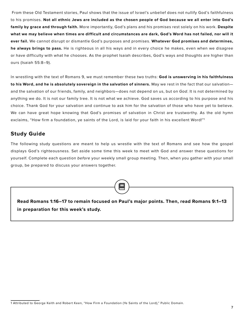From these Old Testament stories, Paul shows that the issue of Israel's unbelief does not nullify God's faithfulness to his promises. **Not all ethnic Jews are included as the chosen people of God because we all enter into God's family by grace and through faith.** More importantly, God's plans and his promises rest solely on his work. **Despite what we may believe when times are difficult and circumstances are dark, God's Word has not failed, nor will it ever fail.** We cannot disrupt or dismantle God's purposes and promises. **Whatever God promises and determines, he always brings to pass.** He is righteous in all his ways and in every choice he makes, even when we disagree or have difficulty with what he chooses. As the prophet Isaiah describes, God's ways and thoughts are higher than ours (Isaiah 55:8–9).

In wrestling with the text of Romans 9, we must remember these two truths: **God is unswerving in his faithfulness to his Word, and he is absolutely sovereign in the salvation of sinners.** May we rest in the fact that our salvation and the salvation of our friends, family, and neighbors—does not depend on us, but on *God*. It is not determined by anything we do. It is not our family tree. It is not what we achieve. God saves us according to his purpose and his choice. Thank God for your salvation and continue to ask him for the salvation of those who have yet to believe. We can have great hope knowing that God's promises of salvation in Christ are trustworthy. As the old hymn exclaims, "How firm a foundation, ye saints of the Lord, is laid for your faith in his excellent Word!"1

#### **Study Guide**

The following study questions are meant to help us wrestle with the text of Romans and see how the gospel displays God's righteousness*.* Set aside some time this week to meet with God and answer these questions for yourself. Complete each question *before* your weekly small group meeting. Then, when you gather with your small group, be prepared to discuss your answers together.

**Read Romans 1:16–17 to remain focused on Paul's major points. Then, read Romans 9:1–13 in preparation for this week's study.**

<sup>1</sup> Attributed to George Keith and Robert Keen, "How Firm a Foundation (Ye Saints of the Lord)," Public Domain.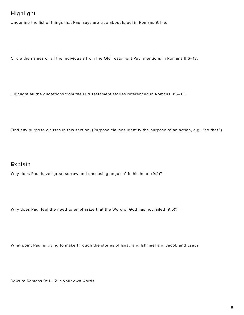# **H**ighlight

Underline the list of things that Paul says are true about Israel in Romans 9:1–5.

Circle the names of all the individuals from the Old Testament Paul mentions in Romans 9:6–13.

Highlight all the quotations from the Old Testament stories referenced in Romans 9:6–13.

Find any purpose clauses in this section. (Purpose clauses identify the purpose of an action, e.g., "so that.")

#### **E**xplain

Why does Paul have "great sorrow and unceasing anguish" in his heart (9:2)?

Why does Paul feel the need to emphasize that the Word of God has not failed (9:6)?

What point Paul is trying to make through the stories of Isaac and Ishmael and Jacob and Esau?

Rewrite Romans 9:11–12 in your own words.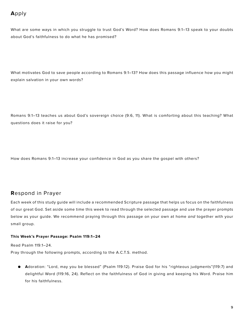# **A**pply

What are some ways in which you struggle to trust God's Word? How does Romans 9:1–13 speak to your doubts about God's faithfulness to do what he has promised?

What motivates God to save people according to Romans 9:1–13? How does this passage influence how you might explain salvation in your own words?

Romans 9:1–13 teaches us about God's sovereign choice (9:6, 11). What is comforting about this teaching? What questions does it raise for you?

How does Romans 9:1–13 increase your confidence in God as you share the gospel with others?

#### **R**espond in Prayer

Each week of this study guide will include a recommended Scripture passage that helps us focus on the faithfulness of our great God. Set aside some time this week to read through the selected passage and use the prayer prompts below as your guide. We recommend praying through this passage on your own at home *and* together with your small group.

#### **This Week's Prayer Passage: Psalm 119:1–24**

Read Psalm 119:1–24.

Pray through the following prompts, according to the A.C.T.S. method.

**● A**doration: "Lord, may you be blessed" (Psalm 119:12). Praise God for his "righteous judgments"(119:7) and delightful Word (119:16, 24). Reflect on the faithfulness of God in giving and keeping his Word. Praise him for his faithfulness.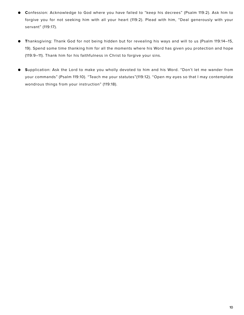- **● C**onfession: Acknowledge to God where you have failed to "keep his decrees" (Psalm 119:2). Ask him to forgive you for not seeking him with all your heart (119:2). Plead with him, "Deal generously with your servant" (119:17).
- **● T**hanksgiving: Thank God for not being hidden but for revealing his ways and will to us (Psalm 119:14–15, 19). Spend some time thanking him for all the moments where his Word has given you protection and hope (119:9–11). Thank him for his faithfulness in Christ to forgive your sins.
- **● S**upplication: Ask the Lord to make you wholly devoted to him and his Word. "Don't let me wander from your commands" (Psalm 119:10). "Teach me your statutes"(119:12). "Open my eyes so that I may contemplate wondrous things from your instruction" (119:18).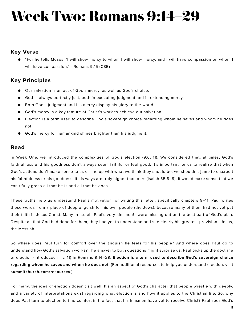# **Week Two: Romans 9:14–29**

#### **Key Verse**

● "For he tells Moses, 'I will show mercy to whom I will show mercy, and I will have compassion on whom I will have compassion." - Romans 9:15 (CSB)

# **Key Principles**

- Our salvation is an act of God's mercy, as well as God's choice.
- God is always perfectly just, both in executing judgment and in extending mercy.
- Both God's judgment and his mercy display his glory to the world.
- God's mercy is a key feature of Christ's work to achieve our salvation.
- Election is a term used to describe God's sovereign choice regarding whom he saves and whom he does not.
- God's mercy for humankind shines brighter than his judgment.

#### **Read**

In Week One, we introduced the complexities of God's election (9:6, 11). We considered that, at times, God's faithfulness and his goodness don't always seem faithful or feel good. It's important for us to realize that when God's actions don't make sense to us or line up with what we think they should be, we shouldn't jump to discredit his faithfulness or his goodness. If his ways are truly higher than ours (Isaiah 55:8–9), it would make sense that we can't fully grasp all that he is and all that he does.

These truths help us understand Paul's motivation for writing this letter, specifically chapters 9–11. Paul writes these words from a place of deep anguish for his own people (the Jews), because many of them had not yet put their faith in Jesus Christ. Many in Israel—Paul's very kinsmen!—were missing out on the best part of God's plan. Despite all that God had done for them, they had yet to understand and see clearly his greatest provision—Jesus, the Messiah.

So where does Paul turn for comfort over the anguish he feels for his people? And where does Paul go to understand how God's salvation works? The answer to both questions might surprise us: Paul picks up the doctrine of election (introduced in v. 11) in Romans 9:14–29. **Election is a term used to describe God's sovereign choice regarding whom he saves and whom he does not**. (For additional resources to help you understand election, visit **summitchurch.com/resources**.)

For many, the idea of election doesn't sit well. It's an aspect of God's character that people wrestle with deeply, and a variety of interpretations exist regarding what election is and how it applies to the Christian life. So, why does Paul turn to election to find comfort in the fact that his kinsmen have yet to receive Christ? Paul sees God's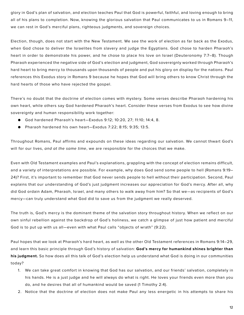glory in God's plan of salvation, and election teaches Paul that God is powerful, faithful, and loving enough to bring all of his plans to completion. Now, knowing the glorious salvation that Paul communicates to us in Romans 9–11, we can rest in God's merciful plans, righteous judgments, and sovereign choices.

Election, though, does not start with the New Testament. We see the work of election as far back as the Exodus, when God chose to deliver the Israelites from slavery and judge the Egyptians. God chose to harden Pharaoh's heart in order to demonstrate his power, and he chose to place his love on Israel (Deuteronomy 7:7–8). Though Pharaoh experienced the negative side of God's election and judgment, God sovereignly worked through Pharaoh's hard heart to bring mercy to thousands upon thousands of people and put his glory on display for the nations. Paul references this Exodus story in Romans 9 because he hopes that God will bring others to know Christ through the hard hearts of those who have rejected the gospel.

There's no doubt that the doctrine of election comes with mystery. Some verses describe Pharaoh hardening his own heart, while others say God hardened Pharaoh's heart. Consider these verses from Exodus to see how divine sovereignty and human responsibility work together:

- God hardened Pharaoh's heart-Exodus 9:12; 10:20, 27; 11:10; 14:4, 8.
- Pharaoh hardened his own heart—Exodus 7:22; 8:15; 9:35; 13:5.

Throughout Romans, Paul affirms and expounds on these ideas regarding our salvation. We cannot thwart God's will for our lives, *and at the same time*, we are responsible for the choices that we make.

Even with Old Testament examples and Paul's explanations, grappling with the concept of election remains difficult, and a variety of interpretations are possible. For example, why does God send some people to hell (Romans 9:19– 24)? First, it's important to remember that God never sends people to hell without their participation. Second, Paul explains that our understanding of God's just judgment increases our appreciation for God's mercy. After all, why did God ordain Adam, Pharaoh, Israel, and many others to walk away from him? So that we—as recipients of God's mercy—can truly understand what God did to save us from the judgment we really deserved.

The truth is, God's mercy is the dominant theme of the salvation story throughout history. When we reflect on our own sinful rebellion against the backdrop of God's holiness, we catch a glimpse of just how patient and merciful God is to put up with us all—even with what Paul calls "objects of wrath" (9:22).

Paul hopes that we look at Pharaoh's hard heart, as well as the other Old Testament references in Romans 9:14–29, and learn this basic principle through God's history of salvation: **God's mercy for humankind shines brighter than his judgment.** So how does all this talk of God's election help us understand what God is doing in our communities today?

- 1. We can take great comfort in knowing that God has our salvation, and our friends' salvation, completely in his hands. He is a just judge and he will always do what is right. He loves your friends even more than you do, and he desires that all of humankind would be saved (1 Timothy 2:4).
- 2. Notice that the doctrine of election does not make Paul any less energetic in his attempts to share his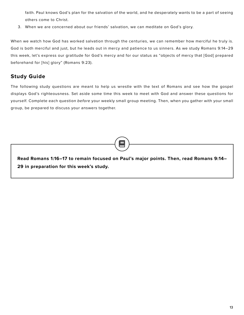faith. Paul knows God's plan for the salvation of the world, and he desperately wants to be a part of seeing others come to Christ.

3. When we are concerned about our friends' salvation, we can meditate on God's glory.

When we watch how God has worked salvation through the centuries, we can remember how merciful he truly is. God is both merciful and just, but he leads out in mercy and patience to us sinners. As we study Romans 9:14–29 this week, let's express our gratitude for God's mercy and for our status as "objects of mercy that [God] prepared beforehand for [his] glory" (Romans 9:23).

### **Study Guide**

The following study questions are meant to help us wrestle with the text of Romans and see how the gospel displays God's righteousness*.* Set aside some time this week to meet with God and answer these questions for yourself. Complete each question *before* your weekly small group meeting. Then, when you gather with your small group, be prepared to discuss your answers together.

**Read Romans 1:16–17 to remain focused on Paul's major points. Then, read Romans 9:14– 29 in preparation for this week's study.**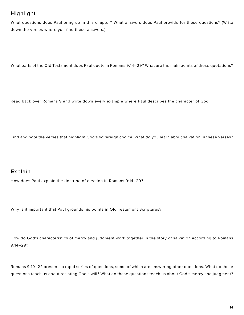# **H**ighlight

What questions does Paul bring up in this chapter? What answers does Paul provide for these questions? (Write down the verses where you find these answers.)

What parts of the Old Testament does Paul quote in Romans 9:14–29? What are the main points of these quotations?

Read back over Romans 9 and write down every example where Paul describes the character of God.

Find and note the verses that highlight God's sovereign choice. What do you learn about salvation in these verses?

# **E**xplain

How does Paul explain the doctrine of election in Romans 9:14–29?

Why is it important that Paul grounds his points in Old Testament Scriptures?

How do God's characteristics of mercy and judgment work together in the story of salvation according to Romans 9:14–29?

Romans 9:19–24 presents a rapid series of questions, some of which are answering other questions. What do these questions teach us about resisting God's will? What do these questions teach us about God's mercy and judgment?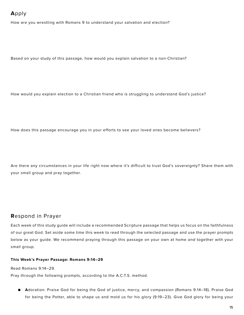# **A**pply

How are you wrestling with Romans 9 to understand your salvation and election?

Based on your study of this passage, how would you explain salvation to a non-Christian?

How would you explain election to a Christian friend who is struggling to understand God's justice?

How does this passage encourage you in your efforts to see your loved ones become believers?

Are there any circumstances in your life right now where it's difficult to trust God's sovereignty? Share them with your small group and pray together.

#### **R**espond in Prayer

Each week of this study guide will include a recommended Scripture passage that helps us focus on the faithfulness of our great God. Set aside some time this week to read through the selected passage and use the prayer prompts below as your guide. We recommend praying through this passage on your own at home *and* together with your small group.

#### **This Week's Prayer Passage: Romans 9:14–29**

Read Romans 9:14–29.

Pray through the following prompts, according to the A.C.T.S. method.

**● A**doration: Praise God for being the God of justice, mercy, and compassion (Romans 9:14–18). Praise God for being the Potter, able to shape us and mold us for his glory (9:19–23). Give God glory for being your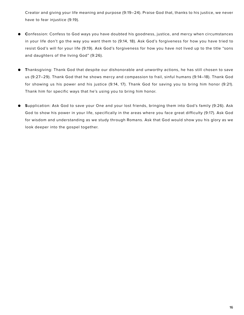Creator and giving your life meaning and purpose (9:19–24). Praise God that, thanks to his justice, we never have to fear injustice (9:19).

- **● C**onfession: Confess to God ways you have doubted his goodness, justice, and mercy when circumstances in your life don't go the way you want them to (9:14, 18). Ask God's forgiveness for how you have tried to resist God's will for your life (9:19). Ask God's forgiveness for how you have not lived up to the title "sons and daughters of the living God" (9:26).
- **● T**hanksgiving: Thank God that despite our dishonorable and unworthy actions, he has still chosen to save us (9:27–29). Thank God that he shows mercy and compassion to frail, sinful humans (9:14–18). Thank God for showing us his power and his justice (9:14, 17). Thank God for saving you to bring him honor (9:21). Thank him for specific ways that he's using you to bring him honor.
- **● S**upplication: Ask God to save your One and your lost friends, bringing them into God's family (9:26). Ask God to show his power in your life, specifically in the areas where you face great difficulty (9:17). Ask God for wisdom and understanding as we study through Romans. Ask that God would show you his glory as we look deeper into the gospel together.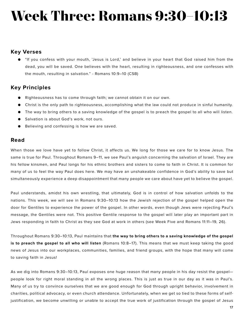# **Week Three: Romans 9:30–10:13**

#### **Key Verses**

● "If you confess with your mouth, 'Jesus is Lord,' and believe in your heart that God raised him from the dead, you will be saved. One believes with the heart, resulting in righteousness, and one confesses with the mouth, resulting in salvation." - Romans 10:9–10 (CSB)

### **Key Principles**

- Righteousness has to come through faith; we cannot obtain it on our own.
- Christ is the only path to righteousness, accomplishing what the law could not produce in sinful humanity.
- The way to bring others to a saving knowledge of the gospel is to preach the gospel to all who will listen.
- Salvation is about God's work, not ours.
- Believing and confessing is how we are saved.

#### **Read**

When those we love have yet to follow Christ, it affects us. We long for those we care for to know Jesus. The same is true for Paul. Throughout Romans 9–11, we see Paul's anguish concerning the salvation of Israel. They are his fellow kinsmen, and Paul longs for his ethnic brothers and sisters to come to faith in Christ. It is common for many of us to feel the way Paul does here. We may have an unshakeable confidence in God's ability to save but simultaneously experience a deep disappointment that many people we care about have yet to believe the gospel.

Paul understands, amidst his own wrestling, that ultimately, God is in control of how salvation unfolds to the nations. This week, we will see in Romans 9:30–10:13 how the Jewish rejection of the gospel helped open the door for Gentiles to experience the power of the gospel. In other words, even though Jews were rejecting Paul's message, the Gentiles were not. This positive Gentile response to the gospel will later play an important part in Jews responding in faith to Christ as they see God at work in others (see Week Five and Romans 11:11–19, 26).

Throughout Romans 9:30–10:13, Paul maintains that **the way to bring others to a saving knowledge of the gospel is to preach the gospel to all who will listen** (Romans 10:8–17). This means that we must keep taking the good news of Jesus into our workplaces, communities, families, and friend groups, with the hope that many will come to saving faith in Jesus!

As we dig into Romans 9:30–10:13, Paul exposes one huge reason that many people in his day resist the gospel people look for right moral standing in all the wrong places. This is just as true in our day as it was in Paul's. Many of us try to convince ourselves that we are good enough for God through upright behavior, involvement in charities, political advocacy, or even church attendance. Unfortunately, when we get so tied to these forms of selfjustification, we become unwilling or unable to accept the true work of justification through the gospel of Jesus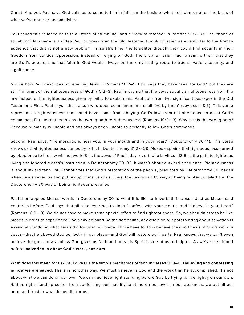Christ. And yet, Paul says God calls us to come to him in faith on the basis of what he's done, not on the basis of what we've done or accomplished.

Paul called this reliance on faith a "stone of stumbling" and a "rock of offense" in Romans 9:32–33. The "stone of stumbling" language is an idea Paul borrows from the Old Testament book of Isaiah as a reminder to the Roman audience that this is not a new problem. In Isaiah's time, the Israelites thought they could find security in their freedom from political oppression, instead of relying on God. The prophet Isaiah had to remind them that they are God's people, and that faith in God would always be the only lasting route to true salvation, security, and significance.

Notice how Paul describes unbelieving Jews in Romans 10:2–5. Paul says they have "zeal for God," but they are still "ignorant of the righteousness of God" (10:2–3). Paul is saying that the Jews sought a righteousness from the law instead of the righteousness given by faith. To explain this, Paul pulls from two significant passages in the Old Testament. First, Paul says, "the person who does commandments shall live by them" (Leviticus 18:5). This verse represents a righteousness that could have come from obeying God's law, from full obedience to all of God's commands. Paul identifies this as the *wrong* path to righteousness (Romans 10:2–13)! Why is this the wrong path? Because humanity is unable and has always been unable to perfectly follow God's commands.

Second, Paul says, "the message is near you, in your mouth and in your heart" (Deuteronomy 30:14). This verse shows us that righteousness comes by faith. In Deuteronomy 31:27–29, Moses explains that righteousness earned by obedience to the law will not work! Still, the Jews of Paul's day reverted to Leviticus 18:5 as the path to righteous living and ignored Moses's instruction in Deuteronomy 30–33. It wasn't about outward obedience. Righteousness is about inward faith. Paul announces that God's restoration of the people, predicted by Deuteronomy 30, began when Jesus saved us and put his Spirit inside of us. Thus, the Leviticus 18:5 way of being righteous failed and the Deuteronomy 30 way of being righteous prevailed.

Paul then applies Moses' words in Deuteronomy 30 to what it is like to have faith in Jesus. Just as Moses said centuries before, Paul says that all a believer has to do is "confess with your mouth" and "believe in your heart" (Romans 10:9–10). We do not have to make some special effort to find righteousness. So, we shouldn't try to be like Moses in order to experience God's saving hand. At the same time, any effort on our part to bring about salvation is essentially undoing what Jesus did for us in our place. All we have to do is believe the good news of God's work in Jesus—that he obeyed God perfectly in our place—and God will restore our hearts. Paul knows that we can't even believe the good news unless God gives us faith and puts his Spirit inside of us to help us. As we've mentioned before, **salvation is about God's work, not ours**.

What does this mean for us? Paul gives us the simple mechanics of faith in verses 10:9–11. **Believing and confessing is how we are saved**. There is no other way. We must believe in God and the work that he accomplished. It's not about what we can do on our own. We can't achieve right standing before God by trying to live rightly on our own. Rather, right standing comes from confessing our inability to stand on our own. In our weakness, we put all our hope and trust in what Jesus did for us.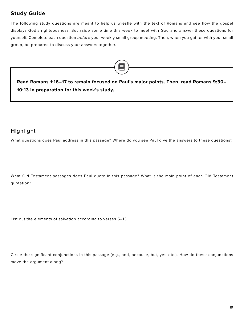# **Study Guide**

The following study questions are meant to help us wrestle with the text of Romans and see how the gospel displays God's righteousness*.* Set aside some time this week to meet with God and answer these questions for yourself. Complete each question *before* your weekly small group meeting. Then, when you gather with your small group, be prepared to discuss your answers together.



**Read Romans 1:16–17 to remain focused on Paul's major points. Then, read Romans 9:30– 10:13 in preparation for this week's study.**

# **H**ighlight

What questions does Paul address in this passage? Where do you see Paul give the answers to these questions?

What Old Testament passages does Paul quote in this passage? What is the main point of each Old Testament quotation?

List out the elements of salvation according to verses 5–13.

Circle the significant conjunctions in this passage (e.g., and, because, but, yet, etc.). How do these conjunctions move the argument along?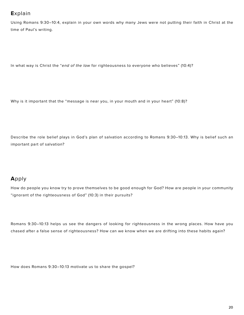# **E**xplain

Using Romans 9:30–10:4, explain in your own words why many Jews were not putting their faith in Christ at the time of Paul's writing.

In what way is Christ the "*end of the law* for righteousness to everyone who believes" (10:4)?

Why is it important that the "message is near you, in your mouth and in your heart" (10:8)?

Describe the role belief plays in God's plan of salvation according to Romans 9:30–10:13. Why is belief such an important part of salvation?

# **A**pply

How do people you know try to prove themselves to be good enough for God? How are people in your community "ignorant of the righteousness of God" (10:3) in their pursuits?

Romans 9:30–10:13 helps us see the dangers of looking for righteousness in the wrong places. How have you chased after a false sense of righteousness? How can we know when we are drifting into these habits again?

How does Romans 9:30–10:13 motivate us to share the gospel?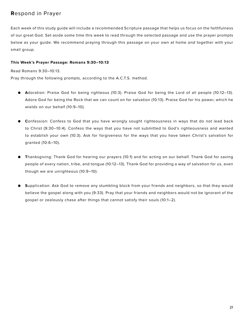# **R**espond in Prayer

Each week of this study guide will include a recommended Scripture passage that helps us focus on the faithfulness of our great God. Set aside some time this week to read through the selected passage and use the prayer prompts below as your guide. We recommend praying through this passage on your own at home *and* together with your small group.

#### **This Week's Prayer Passage: Romans 9:30–10:13**

Read Romans 9:30–10:13.

Pray through the following prompts, according to the A.C.T.S. method.

- **● A**doration: Praise God for being righteous (10:3). Praise God for being the Lord of all people (10:12–13). Adore God for being the Rock that we can count on for salvation (10:13). Praise God for his power, which he wields on our behalf (10:9–10).
- **● C**onfession: Confess to God that you have wrongly sought righteousness in ways that do not lead back to Christ (9:30–10:4). Confess the ways that you have not submitted to God's righteousness and wanted to establish your own (10:3). Ask for forgiveness for the ways that you have taken Christ's salvation for granted (10:6–10).
- **● T**hanksgiving: Thank God for hearing our prayers (10:1) and for acting on our behalf. Thank God for saving people of every nation, tribe, and tongue (10:12–13). Thank God for providing a way of salvation for us, even though we are unrighteous (10:9–10).
- **● S**upplication: Ask God to remove any stumbling block from your friends and neighbors, so that they would believe the gospel along with you (9:33). Pray that your friends and neighbors would not be ignorant of the gospel or zealously chase after things that cannot satisfy their souls (10:1–2).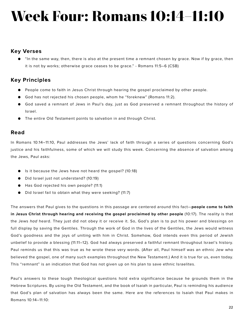# **Week Four: Romans 10:14–11:10**

#### **Key Verses**

● "In the same way, then, there is also at the present time a remnant chosen by grace. Now if by grace, then it is not by works; otherwise grace ceases to be grace." - Romans 11:5–6 (CSB)

# **Key Principles**

- People come to faith in Jesus Christ through hearing the gospel proclaimed by other people.
- God has not rejected his chosen people, whom he "foreknew" (Romans 11:2).
- God saved a remnant of Jews in Paul's day, just as God preserved a remnant throughout the history of Israel.
- The entire Old Testament points to salvation in and through Christ.

#### **Read**

In Romans 10:14–11:10, Paul addresses the Jews' lack of faith through a series of questions concerning God's justice and his faithfulness, some of which we will study this week. Concerning the absence of salvation among the Jews, Paul asks:

- Is it because the Jews have not heard the gospel? (10:18)
- Did Israel just not understand? (10:19)
- Has God rejected his own people? (11:1)
- Did Israel fail to obtain what they were seeking? (11:7)

The answers that Paul gives to the questions in this passage are centered around this fact—**people come to faith in Jesus Christ through hearing and receiving the gospel proclaimed by other people** (10:17). The reality is that the Jews *had* heard. They just did not obey it or receive it. So, God's plan is to put his power and blessings on full display by saving the Gentiles. Through the work of God in the lives of the Gentiles, the Jews would witness God's goodness and the joys of uniting with him in Christ. Somehow, God intends even this period of Jewish unbelief to provide a blessing (11:11–12). God had always preserved a faithful remnant throughout Israel's history. Paul reminds us that this was true as he wrote these very words. (After all, Paul himself was an ethnic Jew who believed the gospel, one of many such examples throughout the New Testament.) And it is true for us, even today. This "remnant" is an indication that God has not given up on his plan to save ethnic Israelites.

Paul's answers to these tough theological questions hold extra significance because he grounds them in the Hebrew Scriptures. By using the Old Testament, and the book of Isaiah in particular, Paul is reminding his audience that God's plan of salvation has always been the same. Here are the references to Isaiah that Paul makes in Romans 10:14–11:10: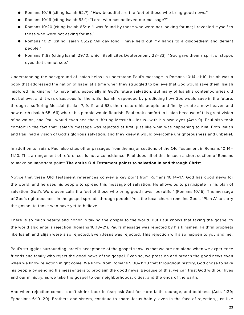- Romans 10:15 (citing Isaiah 52:7): "How beautiful are the feet of those who bring good news."
- Romans 10:16 (citing Isaiah 53:1): "Lord, who has believed our message?"
- Romans 10:20 (citing Isaiah 65:1): "I was found by those who were not looking for me; I revealed myself to those who were not asking for me."
- Romans 10:21 (citing Isaiah 65:2): "All day long I have held out my hands to a disobedient and defiant people."
- Romans 11:8a (citing Isaiah 29:10, which itself cites Deuteronomy 28–33): "God gave them a spirit of stupor, eyes that cannot see."

Understanding the background of Isaiah helps us understand Paul's message in Romans 10:14–11:10. Isaiah was a book that addressed the nation of Israel at a time when they struggled to believe that God would save them. Isaiah implored his kinsmen to have faith, especially in God's future salvation. But many of Isaiah's contemporaries did not believe, and it was disastrous for them. So, Isaiah responded by predicting how God would save in the future, through a suffering Messiah (Isaiah 7, 9, 11, and 53), then restore his people, and finally create a new heaven and new earth (Isaiah 65–66) where his people would flourish. Paul took comfort in Isaiah because of this great vision of salvation, and Paul would even see the suffering Messiah—Jesus—with his own eyes (Acts 9). Paul also took comfort in the fact that Isaiah's message was rejected at first, just like what was happening to him. Both Isaiah and Paul had a vision of God's glorious salvation, and they knew it would overcome unrighteousness and unbelief.

In addition to Isaiah, Paul also cites other passages from the major sections of the Old Testament in Romans 10:14– 11:10. This arrangement of references is not a coincidence. Paul does all of this in such a short section of Romans to make an important point: **The entire Old Testament points to salvation in and through Christ**.

Notice that these Old Testament references convey a key point from Romans 10:14–17: God has good news for the world, and he uses his people to spread this message of salvation. He allows *us* to participate in his plan of salvation. God's Word even calls the feet of those who bring good news "beautiful" (Romans 10:15)! The message of God's righteousness in the gospel spreads through people! Yes, the local church remains God's "Plan A" to carry the gospel to those who have yet to believe.

There is so much beauty and honor in taking the gospel to the world. But Paul knows that taking the gospel to the world also entails rejection (Romans 10:18–21). Paul's message was rejected by his kinsmen. Faithful prophets like Isaiah and Elijah were also rejected. Even Jesus was rejected. This rejection will also happen to you and me.

Paul's struggles surrounding Israel's acceptance of the gospel show us that we are not alone when we experience friends and family who reject the good news of the gospel. Even so, we press on and preach the good news even when we know rejection might come. We know from Romans 9:30–11:10 that throughout history, God chose to save his people by sending his messengers to proclaim the good news. Because of this, we can trust God with our lives and our ministry, as we take the gospel to our neighborhoods, cities, and the ends of the earth.

And when rejection comes, don't shrink back in fear; ask God for more faith, courage, and boldness (Acts 4:29; Ephesians 6:19–20). Brothers and sisters, continue to share Jesus boldly, even in the face of rejection, just like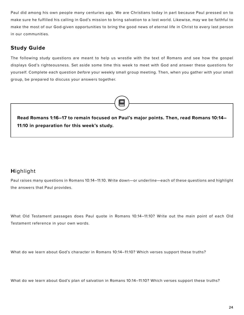Paul did among his own people many centuries ago. We are Christians today in part because Paul pressed on to make sure he fulfilled his calling in God's mission to bring salvation to a lost world. Likewise, may we be faithful to make the most of our God-given opportunities to bring the good news of eternal life in Christ to every last person in our communities.

# **Study Guide**

The following study questions are meant to help us wrestle with the text of Romans and see how the gospel displays God's righteousness*.* Set aside some time this week to meet with God and answer these questions for yourself. Complete each question *before* your weekly small group meeting. Then, when you gather with your small group, be prepared to discuss your answers together.



**Read Romans 1:16–17 to remain focused on Paul's major points. Then, read Romans 10:14– 11:10 in preparation for this week's study.**

# **H**ighlight

Paul raises many questions in Romans 10:14–11:10. Write down—or underline—each of these questions and highlight the answers that Paul provides.

What Old Testament passages does Paul quote in Romans 10:14–11:10? Write out the main point of each Old Testament reference in your own words.

What do we learn about God's character in Romans 10:14–11:10? Which verses support these truths?

What do we learn about God's plan of salvation in Romans 10:14–11:10? Which verses support these truths?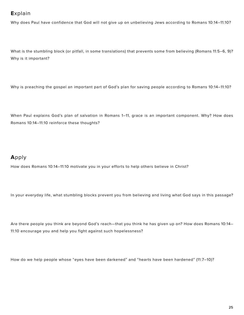# **E**xplain

Why does Paul have confidence that God will not give up on unbelieving Jews according to Romans 10:14–11:10?

What is the stumbling block (or pitfall, in some translations) that prevents some from believing (Romans 11:5–6, 9)? Why is it important?

Why is preaching the gospel an important part of God's plan for saving people according to Romans 10:14–11:10?

When Paul explains God's plan of salvation in Romans 1–11, grace is an important component. Why? How does Romans 10:14–11:10 reinforce these thoughts?

# **A**pply

How does Romans 10:14–11:10 motivate you in your efforts to help others believe in Christ?

In your everyday life, what stumbling blocks prevent you from believing and living what God says in this passage?

Are there people you think are beyond God's reach—that you think he has given up on? How does Romans 10:14– 11:10 encourage you and help you fight against such hopelessness?

How do we help people whose "eyes have been darkened" and "hearts have been hardened" (11:7–10)?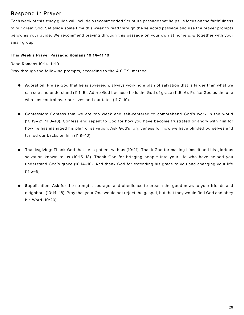# **R**espond in Prayer

Each week of this study guide will include a recommended Scripture passage that helps us focus on the faithfulness of our great God. Set aside some time this week to read through the selected passage and use the prayer prompts below as your guide. We recommend praying through this passage on your own at home *and* together with your small group.

#### **This Week's Prayer Passage: Romans 10:14–11:10**

Read Romans 10:14–11:10.

Pray through the following prompts, according to the A.C.T.S. method.

- **● A**doration: Praise God that he is sovereign, always working a plan of salvation that is larger than what we can see and understand (11:1–5). Adore God because he is the God of grace (11:5–6). Praise God as the one who has control over our lives and our fates (11:7–10).
- **● C**onfession: Confess that we are too weak and self-centered to comprehend God's work in the world (10:19–21; 11:8–10). Confess and repent to God for how you have become frustrated or angry with him for how he has managed his plan of salvation. Ask God's forgiveness for how we have blinded ourselves and turned our backs on him (11:9–10).
- **● T**hanksgiving: Thank God that he is patient with us (10:21). Thank God for making himself and his glorious salvation known to us (10:15–18). Thank God for bringing people into your life who have helped you understand God's grace (10:14–18). And thank God for extending his grace to you and changing your life  $(11:5-6)$ .
- **● S**upplication: Ask for the strength, courage, and obedience to preach the good news to your friends and neighbors (10:14–18). Pray that your One would not reject the gospel, but that they would find God and obey his Word (10:20).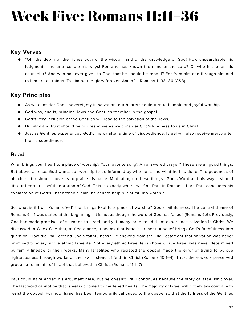# **Week Five: Romans 11:11–36**

### **Key Verses**

● "Oh, the depth of the riches both of the wisdom and of the knowledge of God! How unsearchable his judgments and untraceable his ways! For who has known the mind of the Lord? Or who has been his counselor? And who has ever given to God, that he should be repaid? For from him and through him and to him are all things. To him be the glory forever. Amen." - Romans 11:33–36 (CSB)

# **Key Principles**

- As we consider God's sovereignty in salvation, our hearts should turn to humble and joyful worship.
- God was, and is, bringing Jews and Gentiles together in the gospel.
- God's very inclusion of the Gentiles will lead to the salvation of the Jews.
- Humility and trust should be our response as we consider God's kindness to us in Christ.
- Just as Gentiles experienced God's mercy after a time of disobedience, Israel will also receive mercy after their disobedience.

#### **Read**

What brings your heart to a place of worship? Your favorite song? An answered prayer? These are all good things. But above all else, God wants our worship to be informed by who he is and what he has done. The goodness of his character should move us to praise his name. Meditating on these things—God's Word and his ways—should lift our hearts to joyful adoration of God. This is exactly where we find Paul in Romans 11. As Paul concludes his explanation of God's unsearchable plan, he cannot help but burst into worship.

So, what is it from Romans 9–11 that brings Paul to a place of worship? God's faithfulness. The central theme of Romans 9–11 was stated at the beginning: "It is not as though the word of God has failed" (Romans 9:6). Previously, God had made promises of salvation to Israel, and yet, many Israelites did not experience salvation in Christ. We discussed in Week One that, at first glance, it seems that Israel's present unbelief brings God's faithfulness into question. How did Paul defend God's faithfulness? He showed from the Old Testament that salvation was never promised to every single ethnic Israelite. Not every ethnic Israelite is chosen. True Israel was never determined by family lineage or their works. Many Israelites who resisted the gospel made the error of trying to pursue righteousness through works of the law, instead of faith in Christ (Romans 10:1–4). Thus, there was a preserved group—a remnant—of Israel that believed in Christ. (Romans 11:1–7)

Paul could have ended his argument here, but he doesn't. Paul continues because the story of Israel isn't over. The last word cannot be that Israel is doomed to hardened hearts. The majority of Israel will not always continue to resist the gospel. For now, Israel has been temporarily calloused to the gospel so that the fullness of the Gentiles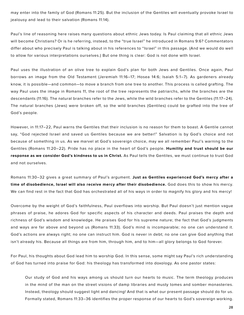may enter into the family of God (Romans 11:25). But the inclusion of the Gentiles will eventually provoke Israel to jealousy and lead to their salvation (Romans 11:14).

Paul's line of reasoning here raises many questions about ethnic Jews today. Is Paul claiming that all ethnic Jews will become Christians? Or is he referring, instead, to the "true Israel" he introduced in Romans 9:6? Commentators differ about who precisely Paul is talking about in his references to "Israel" in this passage. (And we would do well to allow for various interpretations ourselves.) But one thing is clear: God is not done with Israel.

Paul uses the illustration of an olive tree to explain God's plan for both Jews and Gentiles. Once again, Paul borrows an image from the Old Testament (Jeremiah 11:16–17; Hosea 14:6; Isaiah 5:1–7). As gardeners already know, it is possible—and common—to move a branch from one tree to another. This process is called grafting. The way Paul uses the image in Romans 11, the root of the tree represents the patriarchs, while the branches are the descendants (11:16). The natural branches refer to the Jews, while the wild branches refer to the Gentiles (11:17–24). The natural branches (Jews) were broken off, so the wild branches (Gentiles) could be grafted into the tree of God's people.

However, in 11:17–22, Paul warns the Gentiles that their inclusion is no reason for them to boast. A Gentile cannot say, "God rejected Israel and saved us Gentiles because we are better!" Salvation is by God's choice and not because of something in us. As we marvel at God's sovereign choice, may we all remember Paul's warning to the Gentiles (Romans 11:20–22). Pride has no place in the heart of God's people. **Humility and trust should be our response as we consider God's kindness to us in Christ.** As Paul tells the Gentiles, we must continue to trust God and not ourselves.

Romans 11:30–32 gives a great summary of Paul's argument. **Just as Gentiles experienced God's mercy after a time of disobedience, Israel will also receive mercy after their disobedience.** God does this to show his mercy. We can find rest in the fact that God has orchestrated all of his ways in order to magnify his glory and his mercy!

Overcome by the weight of God's faithfulness, Paul overflows into worship. But Paul doesn't just mention vague phrases of praise, he adores God for specific aspects of his character and deeds. Paul praises the depth and richness of God's wisdom and knowledge. He praises God for his supreme nature; the fact that God's judgments and ways are far above and beyond us (Romans 11:33). God's mind is incomparable; no one can understand it. God's actions are always right; no one can instruct him. God is never in debt; no one can give God anything that isn't already his. Because all things are from him, through him, and to him—all glory belongs to God forever.

For Paul, his thoughts about God lead him to worship God. In this sense, some might say Paul's rich understanding of God has turned into praise for God: his theology has transformed into doxology. As one pastor states:

Our study of God and his ways among us should turn our hearts to music. The term theology produces in the mind of the man on the street visions of damp libraries and musty tomes and somber monasteries. Instead, theology should suggest light and dancing! And that is what our present passage should do for us. Formally stated, Romans 11:33–36 identifies the proper response of our hearts to God's sovereign working.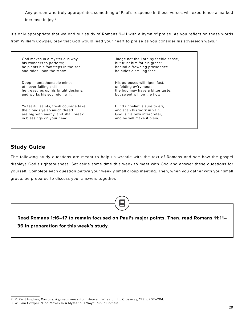Any person who truly appropriates something of Paul's response in these verses will experience a marked increase in joy.2

It's only appropriate that we end our study of Romans 9–11 with a hymn of praise. As you reflect on these words from William Cowper, pray that God would lead your heart to praise as you consider his sovereign ways.3

God moves in a mysterious way his wonders to perform; he plants his footsteps in the sea, and rides upon the storm.

Deep in unfathomable mines of never-failing skill he treasures up his bright designs. and works his sov'reign will.

Ye fearful saints, fresh courage take; the clouds ye so much dread are big with mercy, and shall break in blessings on your head.

Judge not the Lord by feeble sense, but trust him for his grace; behind a frowning providence he hides a smiling face.

His purposes will ripen fast, unfolding ev'ry hour; the bud may have a bitter taste, but sweet will be the flow'r.

Blind unbelief is sure to err, and scan his work in vain; God is his own interpreter, and he will make it plain.

# **Study Guide**

The following study questions are meant to help us wrestle with the text of Romans and see how the gospel displays God's righteousness*.* Set aside some time this week to meet with God and answer these questions for yourself. Complete each question *before* your weekly small group meeting. Then, when you gather with your small group, be prepared to discuss your answers together.



<sup>2</sup> R. Kent Hughes, *Romans: Righteousness from Heaven* (Wheaton, IL: Crossway, 1991), 202–204.

<sup>3</sup> William Cowper, "God Moves In A Mysterious Way." Public Domain.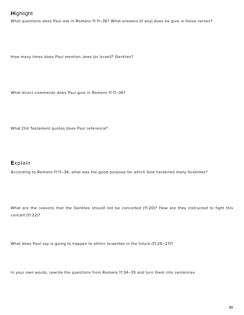# **H**ighlight

What questions does Paul ask in Romans 11:11–36? What answers (if any) does he give in these verses?

How many times does Paul mention Jews (or Israel)? Gentiles?

What direct commands does Paul give in Romans 11:11–36?

What Old Testament quotes does Paul reference?

### **E**xplain

According to Romans 11:11–36, what was the good purpose for which God hardened many Israelites?

What are the reasons that the Gentiles should not be conceited (11:20)? How are they instructed to fight this conceit (11:22)?

What does Paul say is going to happen to ethnic Israelites in the future (11:25–27)?

In your own words, rewrite the questions from Romans 11:34–35 and turn them into sentences.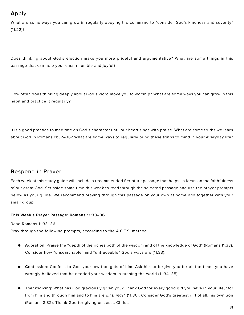# **A**pply

What are some ways you can grow in regularly obeying the command to "consider God's kindness and severity" (11:22)?

Does thinking about God's election make you more prideful and argumentative? What are some things in this passage that can help you remain humble and joyful?

How often does thinking deeply about God's Word move you to worship? What are some ways you can grow in this habit and practice it regularly?

It is a good practice to meditate on God's character until our heart sings with praise. What are some truths we learn about God in Romans 11:32–36? What are some ways to regularly bring these truths to mind in your everyday life?

# **R**espond in Prayer

Each week of this study guide will include a recommended Scripture passage that helps us focus on the faithfulness of our great God. Set aside some time this week to read through the selected passage and use the prayer prompts below as your guide. We recommend praying through this passage on your own at home *and* together with your small group.

#### **This Week's Prayer Passage: Romans 11:33–36**

Read Romans 11:33–36

Pray through the following prompts, according to the A.C.T.S. method.

- **● A**doration: Praise the "depth of the riches both of the wisdom and of the knowledge of God" (Romans 11:33). Consider how "unsearchable" and "untraceable" God's ways are (11:33).
- **● C**onfession: Confess to God your low thoughts of him. Ask him to forgive you for all the times you have wrongly believed that he needed your wisdom in running the world (11:34–35).
- **● T**hanksgiving: What has God graciously given you? Thank God for every good gift you have in your life, "for from him and through him and to him are *all things*" (11:36). Consider God's greatest gift of all, his own Son (Romans 8:32). Thank God for giving us Jesus Christ.